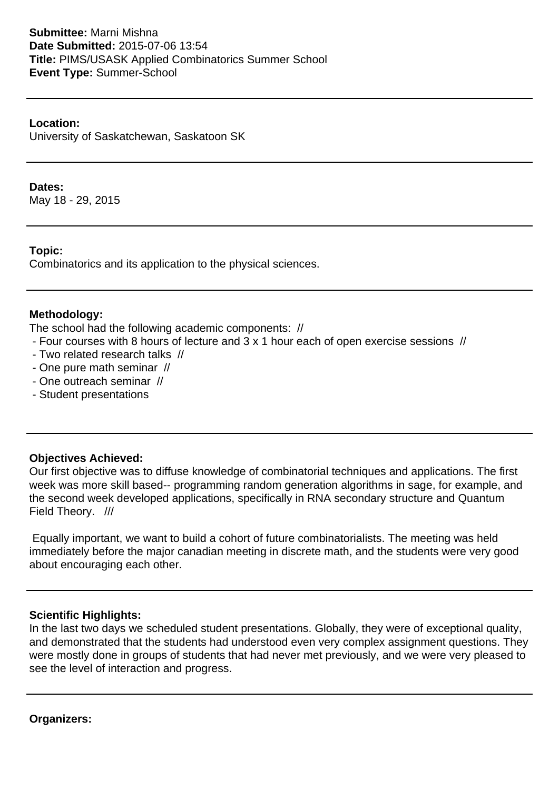# **Submittee:** Marni Mishna **Date Submitted:** 2015-07-06 13:54 **Title:** PIMS/USASK Applied Combinatorics Summer School **Event Type:** Summer-School

### **Location:**

University of Saskatchewan, Saskatoon SK

### **Dates:**

May 18 - 29, 2015

#### **Topic:**

Combinatorics and its application to the physical sciences.

#### **Methodology:**

The school had the following academic components: //

- Four courses with 8 hours of lecture and 3 x 1 hour each of open exercise sessions //

- Two related research talks //
- One pure math seminar //
- One outreach seminar //
- Student presentations

# **Objectives Achieved:**

Our first objective was to diffuse knowledge of combinatorial techniques and applications. The first week was more skill based-- programming random generation algorithms in sage, for example, and the second week developed applications, specifically in RNA secondary structure and Quantum Field Theory. ///

 Equally important, we want to build a cohort of future combinatorialists. The meeting was held immediately before the major canadian meeting in discrete math, and the students were very good about encouraging each other.

# **Scientific Highlights:**

In the last two days we scheduled student presentations. Globally, they were of exceptional quality, and demonstrated that the students had understood even very complex assignment questions. They were mostly done in groups of students that had never met previously, and we were very pleased to see the level of interaction and progress.

**Organizers:**